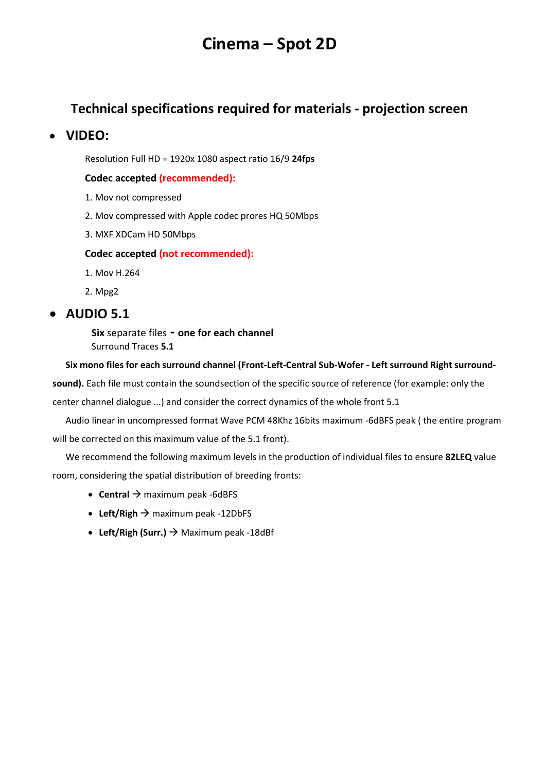# **Cinema – Spot 2D**

### **Technical specifications required for materials - projection screen**

### • **VIDEO:**

Resolution Full HD = 1920x 1080 aspect ratio 16/9 **24fps**

#### **Codec accepted (recommended):**

- 1. Mov not compressed
- 2. Mov compressed with Apple codec prores HQ 50Mbps
- 3. MXF XDCam HD 50Mbps

#### **Codec accepted (not recommended):**

- 1. Mov H.264
- 2. Mpg2

### • **AUDIO 5.1**

**Six** separate files **- one for each channel** Surround Traces **5.1**

#### **Six mono files for each surround channel (Front-Left-Central Sub-Wofer - Left surround Right surround-**

**sound).** Each file must contain the soundsection of the specific source of reference (for example: only the

center channel dialogue ...) and consider the correct dynamics of the whole front 5.1

Audio linear in uncompressed format Wave PCM 48Khz 16bits maximum -6dBFS peak ( the entire program will be corrected on this maximum value of the 5.1 front).

We recommend the following maximum levels in the production of individual files to ensure **82LEQ** value room, considering the spatial distribution of breeding fronts:

- **Central** → maximum peak -6dBFS
- Left/Righ  $\rightarrow$  maximum peak -12DbFS
- **Left/Righ (Surr.)** → Maximum peak -18dBf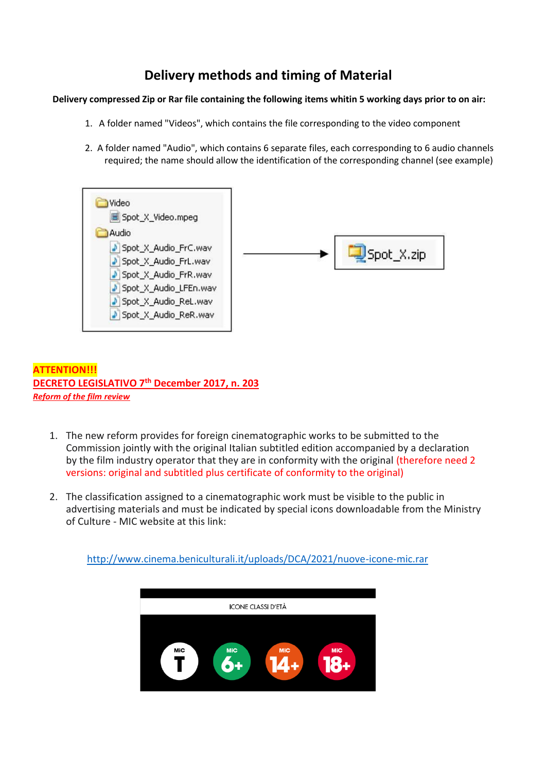# **Delivery methods and timing of Material**

#### **Delivery compressed Zip or Rar file containing the following items whitin 5 working days prior to on air:**

- 1. A folder named "Videos", which contains the file corresponding to the video component
- 2. A folder named "Audio", which contains 6 separate files, each corresponding to 6 audio channels required; the name should allow the identification of the corresponding channel (see example)



#### **ATTENTION!!! DECRETO LEGISLATIVO 7th December 2017, n. 203** *Reform of the film review*

- 1. The new reform provides for foreign cinematographic works to be submitted to the Commission jointly with the original Italian subtitled edition accompanied by a declaration by the film industry operator that they are in conformity with the original (therefore need 2 versions: original and subtitled plus certificate of conformity to the original)
- 2. The classification assigned to a cinematographic work must be visible to the public in advertising materials and must be indicated by special icons downloadable from the Ministry of Culture - MIC website at this link:

<http://www.cinema.beniculturali.it/uploads/DCA/2021/nuove-icone-mic.rar>